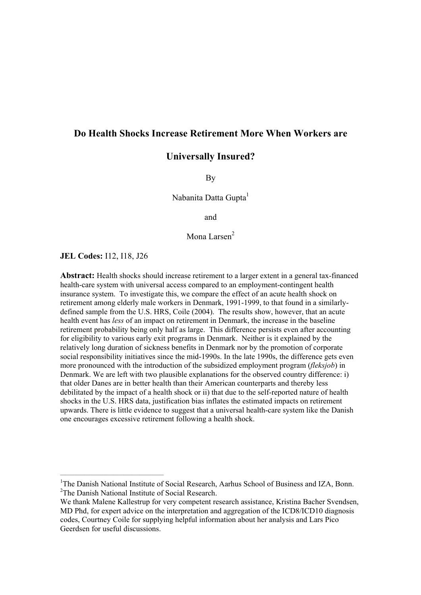# **Do Health Shocks Increase Retirement More When Workers are**

# **Universally Insured?**

By

Nabanita Datta Gupta<sup>1</sup>

and

Mona Larsen<sup>2</sup>

**JEL Codes:** I12, I18, J26

\_\_\_\_\_\_\_\_\_\_\_\_\_\_\_\_\_\_\_\_\_\_\_\_\_\_\_\_\_\_\_\_\_\_\_\_\_\_\_

**Abstract:** Health shocks should increase retirement to a larger extent in a general tax-financed health-care system with universal access compared to an employment-contingent health insurance system. To investigate this, we compare the effect of an acute health shock on retirement among elderly male workers in Denmark, 1991-1999, to that found in a similarlydefined sample from the U.S. HRS, Coile (2004). The results show, however, that an acute health event has *less* of an impact on retirement in Denmark, the increase in the baseline retirement probability being only half as large. This difference persists even after accounting for eligibility to various early exit programs in Denmark. Neither is it explained by the relatively long duration of sickness benefits in Denmark nor by the promotion of corporate social responsibility initiatives since the mid-1990s. In the late 1990s, the difference gets even more pronounced with the introduction of the subsidized employment program (*fleksjob*) in Denmark. We are left with two plausible explanations for the observed country difference: i) that older Danes are in better health than their American counterparts and thereby less debilitated by the impact of a health shock or ii) that due to the self-reported nature of health shocks in the U.S. HRS data, justification bias inflates the estimated impacts on retirement upwards. There is little evidence to suggest that a universal health-care system like the Danish one encourages excessive retirement following a health shock.

<sup>&</sup>lt;sup>1</sup>The Danish National Institute of Social Research, Aarhus School of Business and IZA, Bonn. <sup>2</sup>The Danish National Institute of Social Research.

We thank Malene Kallestrup for very competent research assistance, Kristina Bacher Svendsen, MD Phd, for expert advice on the interpretation and aggregation of the ICD8/ICD10 diagnosis codes, Courtney Coile for supplying helpful information about her analysis and Lars Pico Geerdsen for useful discussions.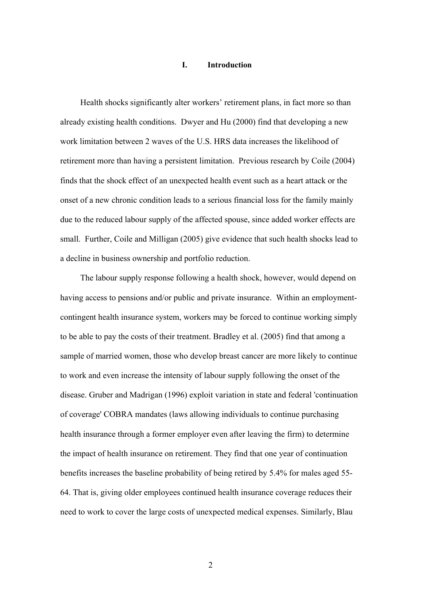#### **I. Introduction**

Health shocks significantly alter workers' retirement plans, in fact more so than already existing health conditions. Dwyer and Hu (2000) find that developing a new work limitation between 2 waves of the U.S. HRS data increases the likelihood of retirement more than having a persistent limitation. Previous research by Coile (2004) finds that the shock effect of an unexpected health event such as a heart attack or the onset of a new chronic condition leads to a serious financial loss for the family mainly due to the reduced labour supply of the affected spouse, since added worker effects are small. Further, Coile and Milligan (2005) give evidence that such health shocks lead to a decline in business ownership and portfolio reduction.

The labour supply response following a health shock, however, would depend on having access to pensions and/or public and private insurance. Within an employmentcontingent health insurance system, workers may be forced to continue working simply to be able to pay the costs of their treatment. Bradley et al. (2005) find that among a sample of married women, those who develop breast cancer are more likely to continue to work and even increase the intensity of labour supply following the onset of the disease. Gruber and Madrigan (1996) exploit variation in state and federal 'continuation of coverage' COBRA mandates (laws allowing individuals to continue purchasing health insurance through a former employer even after leaving the firm) to determine the impact of health insurance on retirement. They find that one year of continuation benefits increases the baseline probability of being retired by 5.4% for males aged 55- 64. That is, giving older employees continued health insurance coverage reduces their need to work to cover the large costs of unexpected medical expenses. Similarly, Blau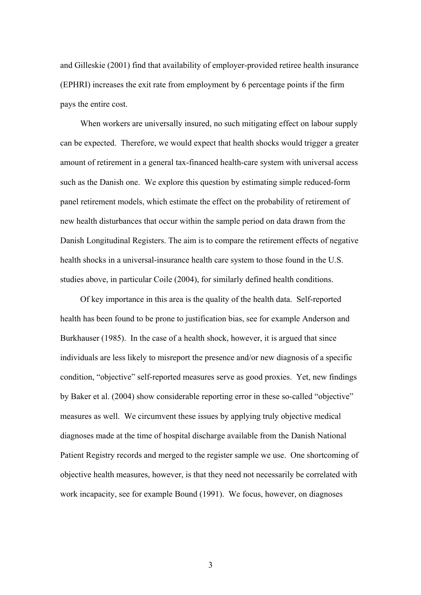and Gilleskie (2001) find that availability of employer-provided retiree health insurance (EPHRI) increases the exit rate from employment by 6 percentage points if the firm pays the entire cost.

When workers are universally insured, no such mitigating effect on labour supply can be expected. Therefore, we would expect that health shocks would trigger a greater amount of retirement in a general tax-financed health-care system with universal access such as the Danish one. We explore this question by estimating simple reduced-form panel retirement models, which estimate the effect on the probability of retirement of new health disturbances that occur within the sample period on data drawn from the Danish Longitudinal Registers. The aim is to compare the retirement effects of negative health shocks in a universal-insurance health care system to those found in the U.S. studies above, in particular Coile (2004), for similarly defined health conditions.

Of key importance in this area is the quality of the health data. Self-reported health has been found to be prone to justification bias, see for example Anderson and Burkhauser (1985). In the case of a health shock, however, it is argued that since individuals are less likely to misreport the presence and/or new diagnosis of a specific condition, "objective" self-reported measures serve as good proxies. Yet, new findings by Baker et al. (2004) show considerable reporting error in these so-called "objective" measures as well. We circumvent these issues by applying truly objective medical diagnoses made at the time of hospital discharge available from the Danish National Patient Registry records and merged to the register sample we use. One shortcoming of objective health measures, however, is that they need not necessarily be correlated with work incapacity, see for example Bound (1991). We focus, however, on diagnoses

3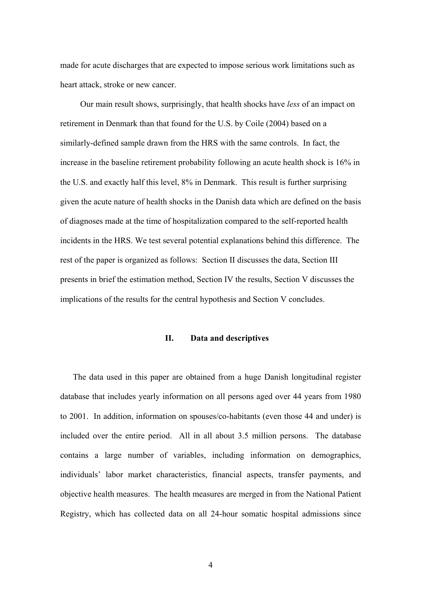made for acute discharges that are expected to impose serious work limitations such as heart attack, stroke or new cancer.

Our main result shows, surprisingly, that health shocks have *less* of an impact on retirement in Denmark than that found for the U.S. by Coile (2004) based on a similarly-defined sample drawn from the HRS with the same controls. In fact, the increase in the baseline retirement probability following an acute health shock is 16% in the U.S. and exactly half this level, 8% in Denmark. This result is further surprising given the acute nature of health shocks in the Danish data which are defined on the basis of diagnoses made at the time of hospitalization compared to the self-reported health incidents in the HRS. We test several potential explanations behind this difference. The rest of the paper is organized as follows: Section II discusses the data, Section III presents in brief the estimation method, Section IV the results, Section V discusses the implications of the results for the central hypothesis and Section V concludes.

#### **II. Data and descriptives**

The data used in this paper are obtained from a huge Danish longitudinal register database that includes yearly information on all persons aged over 44 years from 1980 to 2001. In addition, information on spouses/co-habitants (even those 44 and under) is included over the entire period. All in all about 3.5 million persons. The database contains a large number of variables, including information on demographics, individuals' labor market characteristics, financial aspects, transfer payments, and objective health measures. The health measures are merged in from the National Patient Registry, which has collected data on all 24-hour somatic hospital admissions since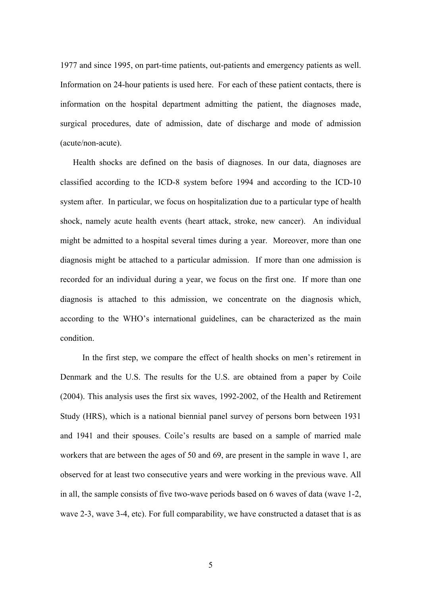1977 and since 1995, on part-time patients, out-patients and emergency patients as well. Information on 24-hour patients is used here. For each of these patient contacts, there is information on the hospital department admitting the patient, the diagnoses made, surgical procedures, date of admission, date of discharge and mode of admission (acute/non-acute).

Health shocks are defined on the basis of diagnoses. In our data, diagnoses are classified according to the ICD-8 system before 1994 and according to the ICD-10 system after. In particular, we focus on hospitalization due to a particular type of health shock, namely acute health events (heart attack, stroke, new cancer). An individual might be admitted to a hospital several times during a year. Moreover, more than one diagnosis might be attached to a particular admission. If more than one admission is recorded for an individual during a year, we focus on the first one. If more than one diagnosis is attached to this admission, we concentrate on the diagnosis which, according to the WHO's international guidelines, can be characterized as the main condition.

 In the first step, we compare the effect of health shocks on men's retirement in Denmark and the U.S. The results for the U.S. are obtained from a paper by Coile (2004). This analysis uses the first six waves, 1992-2002, of the Health and Retirement Study (HRS), which is a national biennial panel survey of persons born between 1931 and 1941 and their spouses. Coile's results are based on a sample of married male workers that are between the ages of 50 and 69, are present in the sample in wave 1, are observed for at least two consecutive years and were working in the previous wave. All in all, the sample consists of five two-wave periods based on 6 waves of data (wave 1-2, wave 2-3, wave 3-4, etc). For full comparability, we have constructed a dataset that is as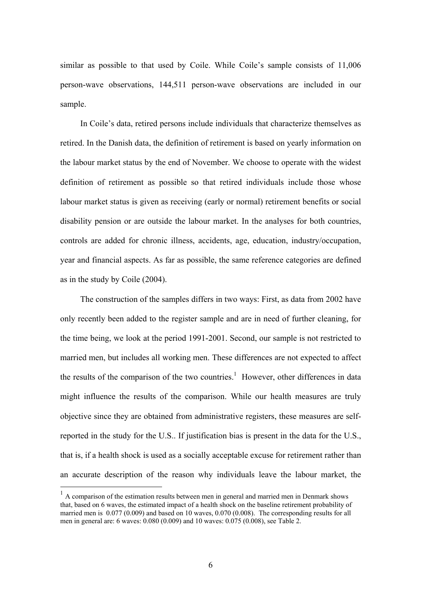similar as possible to that used by Coile. While Coile's sample consists of 11,006 person-wave observations, 144,511 person-wave observations are included in our sample.

In Coile's data, retired persons include individuals that characterize themselves as retired. In the Danish data, the definition of retirement is based on yearly information on the labour market status by the end of November. We choose to operate with the widest definition of retirement as possible so that retired individuals include those whose labour market status is given as receiving (early or normal) retirement benefits or social disability pension or are outside the labour market. In the analyses for both countries, controls are added for chronic illness, accidents, age, education, industry/occupation, year and financial aspects. As far as possible, the same reference categories are defined as in the study by Coile (2004).

The construction of the samples differs in two ways: First, as data from 2002 have only recently been added to the register sample and are in need of further cleaning, for the time being, we look at the period 1991-2001. Second, our sample is not restricted to married men, but includes all working men. These differences are not expected to affect the results of the comparison of the two countries.<sup>1</sup> However, other differences in data might influence the results of the comparison. While our health measures are truly objective since they are obtained from administrative registers, these measures are selfreported in the study for the U.S.. If justification bias is present in the data for the U.S., that is, if a health shock is used as a socially acceptable excuse for retirement rather than an accurate description of the reason why individuals leave the labour market, the

 $\overline{a}$ 

 $<sup>1</sup>$  A comparison of the estimation results between men in general and married men in Denmark shows</sup> that, based on 6 waves, the estimated impact of a health shock on the baseline retirement probability of married men is 0.077 (0.009) and based on 10 waves, 0.070 (0.008). The corresponding results for all men in general are: 6 waves: 0.080 (0.009) and 10 waves: 0.075 (0.008), see Table 2.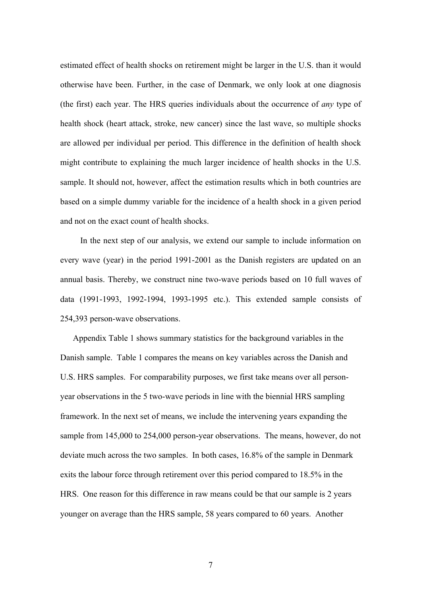estimated effect of health shocks on retirement might be larger in the U.S. than it would otherwise have been. Further, in the case of Denmark, we only look at one diagnosis (the first) each year. The HRS queries individuals about the occurrence of *any* type of health shock (heart attack, stroke, new cancer) since the last wave, so multiple shocks are allowed per individual per period. This difference in the definition of health shock might contribute to explaining the much larger incidence of health shocks in the U.S. sample. It should not, however, affect the estimation results which in both countries are based on a simple dummy variable for the incidence of a health shock in a given period and not on the exact count of health shocks.

In the next step of our analysis, we extend our sample to include information on every wave (year) in the period 1991-2001 as the Danish registers are updated on an annual basis. Thereby, we construct nine two-wave periods based on 10 full waves of data (1991-1993, 1992-1994, 1993-1995 etc.). This extended sample consists of 254,393 person-wave observations.

Appendix Table 1 shows summary statistics for the background variables in the Danish sample. Table 1 compares the means on key variables across the Danish and U.S. HRS samples. For comparability purposes, we first take means over all personyear observations in the 5 two-wave periods in line with the biennial HRS sampling framework. In the next set of means, we include the intervening years expanding the sample from 145,000 to 254,000 person-year observations. The means, however, do not deviate much across the two samples. In both cases, 16.8% of the sample in Denmark exits the labour force through retirement over this period compared to 18.5% in the HRS. One reason for this difference in raw means could be that our sample is 2 years younger on average than the HRS sample, 58 years compared to 60 years. Another

7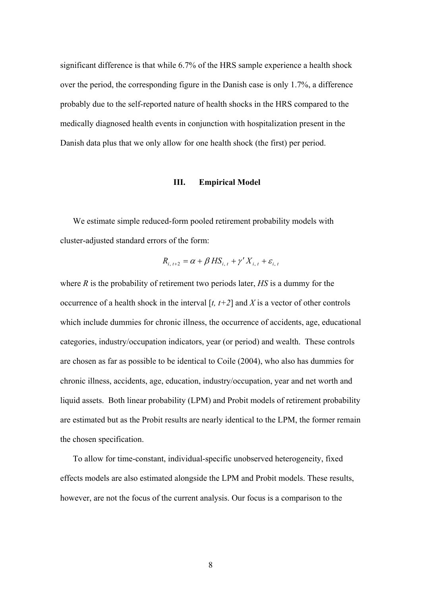significant difference is that while 6.7% of the HRS sample experience a health shock over the period, the corresponding figure in the Danish case is only 1.7%, a difference probably due to the self-reported nature of health shocks in the HRS compared to the medically diagnosed health events in conjunction with hospitalization present in the Danish data plus that we only allow for one health shock (the first) per period.

## **III. Empirical Model**

We estimate simple reduced-form pooled retirement probability models with cluster-adjusted standard errors of the form:

$$
R_{i, t+2} = \alpha + \beta H S_{i, t} + \gamma' X_{i, t} + \varepsilon_{i, t}
$$

where *R* is the probability of retirement two periods later, *HS* is a dummy for the occurrence of a health shock in the interval  $[t, t+2]$  and  $X$  is a vector of other controls which include dummies for chronic illness, the occurrence of accidents, age, educational categories, industry/occupation indicators, year (or period) and wealth. These controls are chosen as far as possible to be identical to Coile (2004), who also has dummies for chronic illness, accidents, age, education, industry/occupation, year and net worth and liquid assets. Both linear probability (LPM) and Probit models of retirement probability are estimated but as the Probit results are nearly identical to the LPM, the former remain the chosen specification.

To allow for time-constant, individual-specific unobserved heterogeneity, fixed effects models are also estimated alongside the LPM and Probit models. These results, however, are not the focus of the current analysis. Our focus is a comparison to the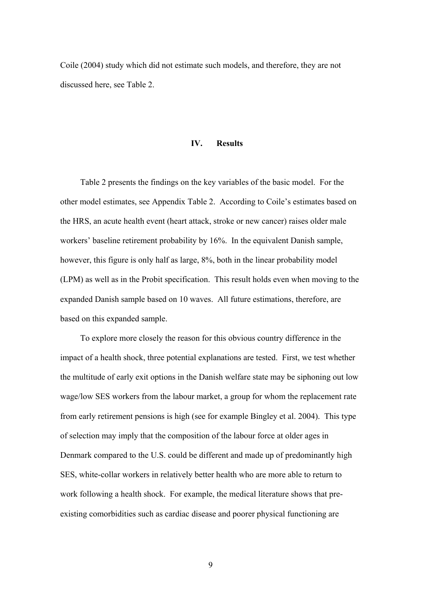Coile (2004) study which did not estimate such models, and therefore, they are not discussed here, see Table 2.

#### **IV. Results**

Table 2 presents the findings on the key variables of the basic model. For the other model estimates, see Appendix Table 2. According to Coile's estimates based on the HRS, an acute health event (heart attack, stroke or new cancer) raises older male workers' baseline retirement probability by 16%. In the equivalent Danish sample, however, this figure is only half as large, 8%, both in the linear probability model (LPM) as well as in the Probit specification. This result holds even when moving to the expanded Danish sample based on 10 waves. All future estimations, therefore, are based on this expanded sample.

To explore more closely the reason for this obvious country difference in the impact of a health shock, three potential explanations are tested. First, we test whether the multitude of early exit options in the Danish welfare state may be siphoning out low wage/low SES workers from the labour market, a group for whom the replacement rate from early retirement pensions is high (see for example Bingley et al. 2004). This type of selection may imply that the composition of the labour force at older ages in Denmark compared to the U.S. could be different and made up of predominantly high SES, white-collar workers in relatively better health who are more able to return to work following a health shock. For example, the medical literature shows that preexisting comorbidities such as cardiac disease and poorer physical functioning are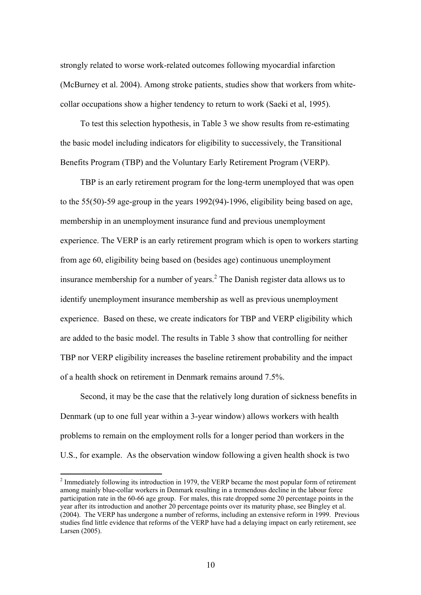strongly related to worse work-related outcomes following myocardial infarction (McBurney et al. 2004). Among stroke patients, studies show that workers from whitecollar occupations show a higher tendency to return to work (Saeki et al, 1995).

To test this selection hypothesis, in Table 3 we show results from re-estimating the basic model including indicators for eligibility to successively, the Transitional Benefits Program (TBP) and the Voluntary Early Retirement Program (VERP).

TBP is an early retirement program for the long-term unemployed that was open to the 55(50)-59 age-group in the years 1992(94)-1996, eligibility being based on age, membership in an unemployment insurance fund and previous unemployment experience. The VERP is an early retirement program which is open to workers starting from age 60, eligibility being based on (besides age) continuous unemployment insurance membership for a number of years. $<sup>2</sup>$  The Danish register data allows us to</sup> identify unemployment insurance membership as well as previous unemployment experience. Based on these, we create indicators for TBP and VERP eligibility which are added to the basic model. The results in Table 3 show that controlling for neither TBP nor VERP eligibility increases the baseline retirement probability and the impact of a health shock on retirement in Denmark remains around 7.5%.

Second, it may be the case that the relatively long duration of sickness benefits in Denmark (up to one full year within a 3-year window) allows workers with health problems to remain on the employment rolls for a longer period than workers in the U.S., for example. As the observation window following a given health shock is two

 $\overline{a}$ 

 $2$  Immediately following its introduction in 1979, the VERP became the most popular form of retirement among mainly blue-collar workers in Denmark resulting in a tremendous decline in the labour force participation rate in the 60-66 age group. For males, this rate dropped some 20 percentage points in the year after its introduction and another 20 percentage points over its maturity phase, see Bingley et al. (2004). The VERP has undergone a number of reforms, including an extensive reform in 1999. Previous studies find little evidence that reforms of the VERP have had a delaying impact on early retirement, see Larsen (2005).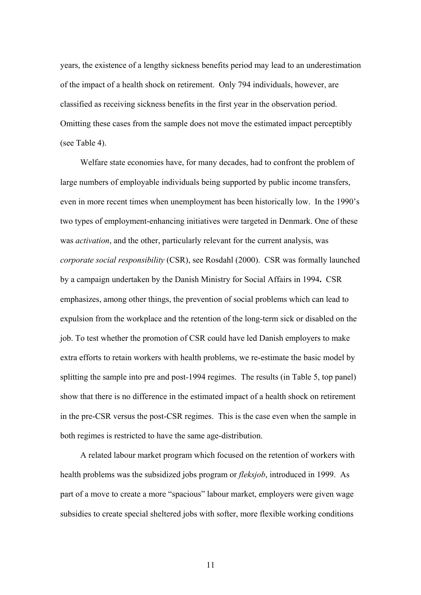years, the existence of a lengthy sickness benefits period may lead to an underestimation of the impact of a health shock on retirement. Only 794 individuals, however, are classified as receiving sickness benefits in the first year in the observation period. Omitting these cases from the sample does not move the estimated impact perceptibly (see Table 4).

Welfare state economies have, for many decades, had to confront the problem of large numbers of employable individuals being supported by public income transfers, even in more recent times when unemployment has been historically low. In the 1990's two types of employment-enhancing initiatives were targeted in Denmark. One of these was *activation*, and the other, particularly relevant for the current analysis, was *corporate social responsibility* (CSR), see Rosdahl (2000). CSR was formally launched by a campaign undertaken by the Danish Ministry for Social Affairs in 1994**.** CSR emphasizes, among other things, the prevention of social problems which can lead to expulsion from the workplace and the retention of the long-term sick or disabled on the job. To test whether the promotion of CSR could have led Danish employers to make extra efforts to retain workers with health problems, we re-estimate the basic model by splitting the sample into pre and post-1994 regimes. The results (in Table 5, top panel) show that there is no difference in the estimated impact of a health shock on retirement in the pre-CSR versus the post-CSR regimes. This is the case even when the sample in both regimes is restricted to have the same age-distribution.

A related labour market program which focused on the retention of workers with health problems was the subsidized jobs program or *fleksjob*, introduced in 1999. As part of a move to create a more "spacious" labour market, employers were given wage subsidies to create special sheltered jobs with softer, more flexible working conditions

11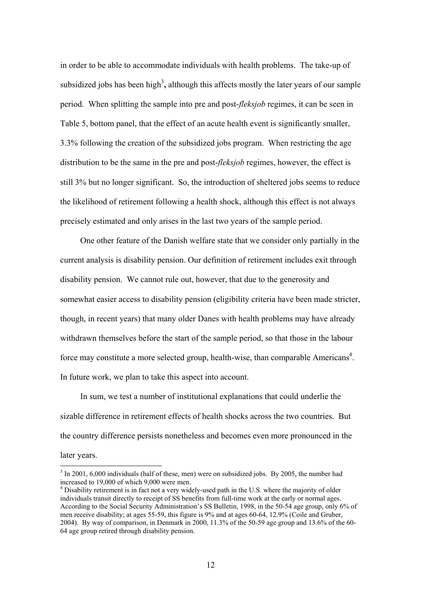in order to be able to accommodate individuals with health problems. The take-up of subsidized jobs has been high<sup>3</sup>, although this affects mostly the later years of our sample period. When splitting the sample into pre and post-*fleksjob* regimes, it can be seen in Table 5, bottom panel, that the effect of an acute health event is significantly smaller, 3.3% following the creation of the subsidized jobs program. When restricting the age distribution to be the same in the pre and post-*fleksjob* regimes, however, the effect is still 3% but no longer significant. So, the introduction of sheltered jobs seems to reduce the likelihood of retirement following a health shock, although this effect is not always precisely estimated and only arises in the last two years of the sample period.

One other feature of the Danish welfare state that we consider only partially in the current analysis is disability pension. Our definition of retirement includes exit through disability pension. We cannot rule out, however, that due to the generosity and somewhat easier access to disability pension (eligibility criteria have been made stricter, though, in recent years) that many older Danes with health problems may have already withdrawn themselves before the start of the sample period, so that those in the labour force may constitute a more selected group, health-wise, than comparable Americans<sup>4</sup>. In future work, we plan to take this aspect into account.

In sum, we test a number of institutional explanations that could underlie the sizable difference in retirement effects of health shocks across the two countries. But the country difference persists nonetheless and becomes even more pronounced in the later years.

 $\overline{a}$ 

 $3 \text{ In } 2001, 6,000 \text{ individuals}$  (half of these, men) were on subsidized jobs. By 2005, the number had increased to 19,000 of which 9,000 were men.

<sup>&</sup>lt;sup>4</sup> Disability retirement is in fact not a very widely-used path in the U.S. where the majority of older individuals transit directly to receipt of SS benefits from full-time work at the early or normal ages. According to the Social Security Administration's SS Bulletin, 1998, in the 50-54 age group, only 6% of men receive disability; at ages 55-59, this figure is 9% and at ages 60-64, 12.9% (Coile and Gruber, 2004). By way of comparison, in Denmark in 2000, 11.3% of the 50-59 age group and 13.6% of the 60- 64 age group retired through disability pension.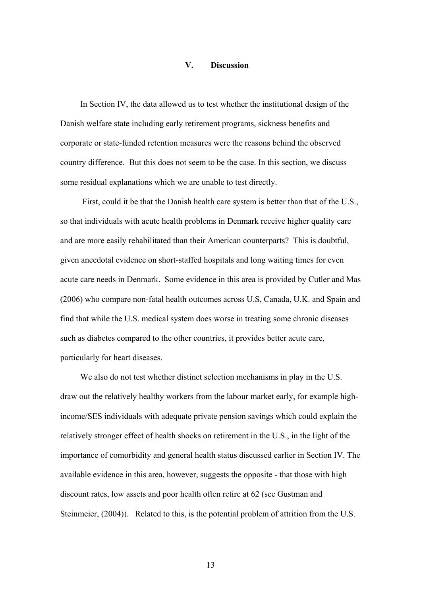#### **V. Discussion**

In Section IV, the data allowed us to test whether the institutional design of the Danish welfare state including early retirement programs, sickness benefits and corporate or state-funded retention measures were the reasons behind the observed country difference. But this does not seem to be the case. In this section, we discuss some residual explanations which we are unable to test directly.

 First, could it be that the Danish health care system is better than that of the U.S., so that individuals with acute health problems in Denmark receive higher quality care and are more easily rehabilitated than their American counterparts? This is doubtful, given anecdotal evidence on short-staffed hospitals and long waiting times for even acute care needs in Denmark. Some evidence in this area is provided by Cutler and Mas (2006) who compare non-fatal health outcomes across U.S, Canada, U.K. and Spain and find that while the U.S. medical system does worse in treating some chronic diseases such as diabetes compared to the other countries, it provides better acute care, particularly for heart diseases.

We also do not test whether distinct selection mechanisms in play in the U.S. draw out the relatively healthy workers from the labour market early, for example highincome/SES individuals with adequate private pension savings which could explain the relatively stronger effect of health shocks on retirement in the U.S., in the light of the importance of comorbidity and general health status discussed earlier in Section IV. The available evidence in this area, however, suggests the opposite - that those with high discount rates, low assets and poor health often retire at 62 (see Gustman and Steinmeier, (2004)). Related to this, is the potential problem of attrition from the U.S.

13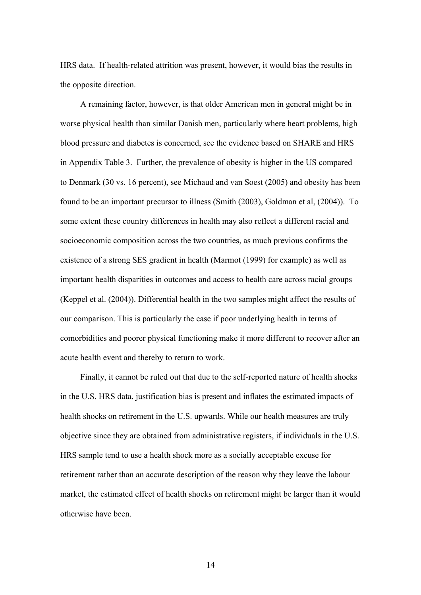HRS data. If health-related attrition was present, however, it would bias the results in the opposite direction.

A remaining factor, however, is that older American men in general might be in worse physical health than similar Danish men, particularly where heart problems, high blood pressure and diabetes is concerned, see the evidence based on SHARE and HRS in Appendix Table 3. Further, the prevalence of obesity is higher in the US compared to Denmark (30 vs. 16 percent), see Michaud and van Soest (2005) and obesity has been found to be an important precursor to illness (Smith (2003), Goldman et al, (2004)). To some extent these country differences in health may also reflect a different racial and socioeconomic composition across the two countries, as much previous confirms the existence of a strong SES gradient in health (Marmot (1999) for example) as well as important health disparities in outcomes and access to health care across racial groups (Keppel et al. (2004)). Differential health in the two samples might affect the results of our comparison. This is particularly the case if poor underlying health in terms of comorbidities and poorer physical functioning make it more different to recover after an acute health event and thereby to return to work.

Finally, it cannot be ruled out that due to the self-reported nature of health shocks in the U.S. HRS data, justification bias is present and inflates the estimated impacts of health shocks on retirement in the U.S. upwards. While our health measures are truly objective since they are obtained from administrative registers, if individuals in the U.S. HRS sample tend to use a health shock more as a socially acceptable excuse for retirement rather than an accurate description of the reason why they leave the labour market, the estimated effect of health shocks on retirement might be larger than it would otherwise have been.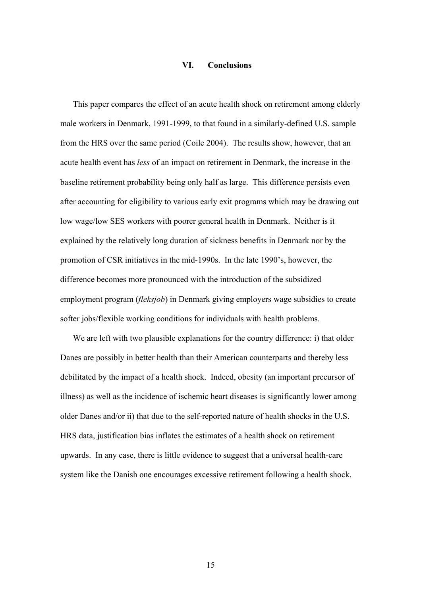#### **VI. Conclusions**

This paper compares the effect of an acute health shock on retirement among elderly male workers in Denmark, 1991-1999, to that found in a similarly-defined U.S. sample from the HRS over the same period (Coile 2004). The results show, however, that an acute health event has *less* of an impact on retirement in Denmark, the increase in the baseline retirement probability being only half as large. This difference persists even after accounting for eligibility to various early exit programs which may be drawing out low wage/low SES workers with poorer general health in Denmark. Neither is it explained by the relatively long duration of sickness benefits in Denmark nor by the promotion of CSR initiatives in the mid-1990s. In the late 1990's, however, the difference becomes more pronounced with the introduction of the subsidized employment program (*fleksjob*) in Denmark giving employers wage subsidies to create softer jobs/flexible working conditions for individuals with health problems.

We are left with two plausible explanations for the country difference: i) that older Danes are possibly in better health than their American counterparts and thereby less debilitated by the impact of a health shock. Indeed, obesity (an important precursor of illness) as well as the incidence of ischemic heart diseases is significantly lower among older Danes and/or ii) that due to the self-reported nature of health shocks in the U.S. HRS data, justification bias inflates the estimates of a health shock on retirement upwards. In any case, there is little evidence to suggest that a universal health-care system like the Danish one encourages excessive retirement following a health shock.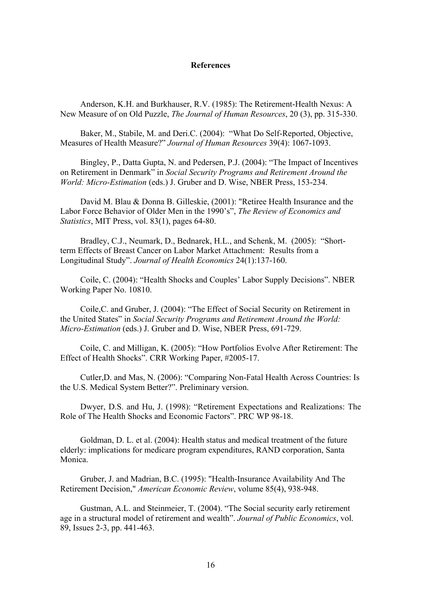#### **References**

Anderson, K.H. and Burkhauser, R.V. (1985): The Retirement-Health Nexus: A New Measure of on Old Puzzle, *The Journal of Human Resources*, 20 (3), pp. 315-330.

Baker, M., Stabile, M. and Deri.C. (2004): "What Do Self-Reported, Objective, Measures of Health Measure?" *Journal of Human Resources* 39(4): 1067-1093.

Bingley, P., Datta Gupta, N. and Pedersen, P.J. (2004): "The Impact of Incentives on Retirement in Denmark" in *Social Security Programs and Retirement Around the World: Micro-Estimation* (eds.) J. Gruber and D. Wise, NBER Press, 153-234.

David M. Blau & Donna B. Gilleskie, (2001): "Retiree Health Insurance and the Labor Force Behavior of Older Men in the 1990's", *The Review of Economics and Statistics*, MIT Press, vol. 83(1), pages 64-80.

Bradley, C.J., Neumark, D., Bednarek, H.L., and Schenk, M. (2005): "Shortterm Effects of Breast Cancer on Labor Market Attachment: Results from a Longitudinal Study". *Journal of Health Economics* 24(1):137-160.

Coile, C. (2004): "Health Shocks and Couples' Labor Supply Decisions". NBER Working Paper No. 10810.

Coile,C. and Gruber, J. (2004): "The Effect of Social Security on Retirement in the United States" in *Social Security Programs and Retirement Around the World: Micro-Estimation* (eds.) J. Gruber and D. Wise, NBER Press, 691-729.

Coile, C. and Milligan, K. (2005): "How Portfolios Evolve After Retirement: The Effect of Health Shocks". CRR Working Paper, #2005-17.

Cutler,D. and Mas, N. (2006): "Comparing Non-Fatal Health Across Countries: Is the U.S. Medical System Better?". Preliminary version.

Dwyer, D.S. and Hu, J. (1998): "Retirement Expectations and Realizations: The Role of The Health Shocks and Economic Factors". PRC WP 98-18.

Goldman, D. L. et al. (2004): Health status and medical treatment of the future elderly: implications for medicare program expenditures, RAND corporation, Santa Monica.

Gruber, J. and Madrian, B.C. (1995): "Health-Insurance Availability And The Retirement Decision," *American Economic Review*, volume 85(4), 938-948.

Gustman, A.L. and Steinmeier, T. (2004). "The Social security early retirement age in a structural model of retirement and wealth". *Journal of Public Economics*, vol. 89, Issues 2-3, pp. 441-463.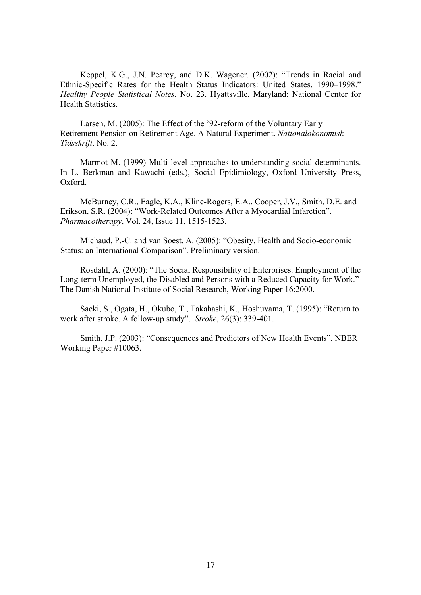Keppel, K.G., J.N. Pearcy, and D.K. Wagener. (2002): "Trends in Racial and Ethnic-Specific Rates for the Health Status Indicators: United States, 1990–1998." *Healthy People Statistical Notes*, No. 23. Hyattsville, Maryland: National Center for Health Statistics.

Larsen, M. (2005): The Effect of the '92-reform of the Voluntary Early Retirement Pension on Retirement Age. A Natural Experiment. *Nationaløkonomisk Tidsskrift*. No. 2.

Marmot M. (1999) Multi-level approaches to understanding social determinants. In L. Berkman and Kawachi (eds.), Social Epidimiology, Oxford University Press, Oxford.

McBurney, C.R., Eagle, K.A., Kline-Rogers, E.A., Cooper, J.V., Smith, D.E. and Erikson, S.R. (2004): "Work-Related Outcomes After a Myocardial Infarction". *Pharmacotherapy*, Vol. 24, Issue 11, 1515-1523.

Michaud, P.-C. and van Soest, A. (2005): "Obesity, Health and Socio-economic Status: an International Comparison". Preliminary version.

Rosdahl, A. (2000): "The Social Responsibility of Enterprises. Employment of the Long-term Unemployed, the Disabled and Persons with a Reduced Capacity for Work." The Danish National Institute of Social Research, Working Paper 16:2000.

Saeki, S., Ogata, H., Okubo, T., Takahashi, K., Hoshuvama, T. (1995): "Return to work after stroke. A follow-up study". *Stroke*, 26(3): 339-401.

Smith, J.P. (2003): "Consequences and Predictors of New Health Events". NBER Working Paper #10063.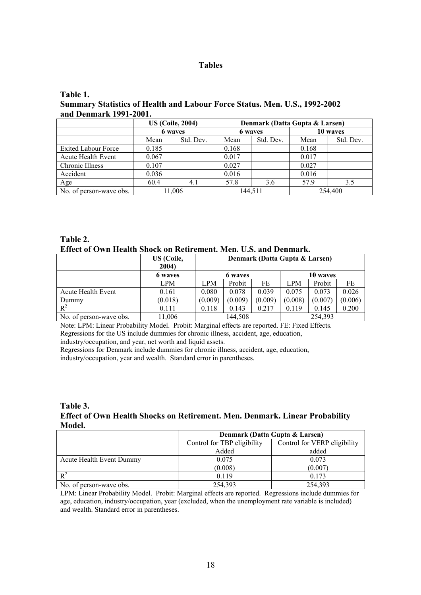#### **Tables**

## **Table 1. Summary Statistics of Health and Labour Force Status. Men. U.S., 1992-2002 and Denmark 1991-2001.**

|                            | <b>US (Coile, 2004)</b> |           | Denmark (Datta Gupta & Larsen) |           |          |           |
|----------------------------|-------------------------|-----------|--------------------------------|-----------|----------|-----------|
|                            | 6 waves                 |           | 6 waves                        |           | 10 waves |           |
|                            | Mean                    | Std. Dev. | Mean                           | Std. Dev. | Mean     | Std. Dev. |
| <b>Exited Labour Force</b> | 0.185                   |           | 0.168                          |           | 0.168    |           |
| <b>Acute Health Event</b>  | 0.067                   |           | 0.017                          |           | 0.017    |           |
| Chronic Illness            | 0.107                   |           | 0.027                          |           | 0.027    |           |
| Accident                   | 0.036                   |           | 0.016                          |           | 0.016    |           |
| Age                        | 60.4                    | 4.1       | 57.8                           | 3.6       | 57.9     | 3.5       |
| No. of person-wave obs.    | 11,006                  |           | 144.511                        |           | 254,400  |           |

**Table 2. Effect of Own Health Shock on Retirement. Men. U.S. and Denmark.** 

|                         | US (Coile,<br>2004) | Denmark (Datta Gupta & Larsen) |         |         |            |          |         |
|-------------------------|---------------------|--------------------------------|---------|---------|------------|----------|---------|
|                         | 6 waves             |                                | 6 waves |         |            | 10 waves |         |
|                         | <b>LPM</b>          | LPM                            | Probit  | FE      | <b>LPM</b> | Probit   | FE      |
| Acute Health Event      | 0.161               | 0.080                          | 0.078   | 0.039   | 0.075      | 0.073    | 0.026   |
| Dummy                   | (0.018)             | (0.009)                        | (0.009) | (0.009) | (0.008)    | (0.007)  | (0.006) |
| $R^2$                   | 0.111               | 0.118                          | 0.143   | 0.217   | 0.119      | 0.145    | 0.200   |
| No. of person-wave obs. | 11,006              | 144,508                        |         | 254,393 |            |          |         |

Note: LPM: Linear Probability Model. Probit: Marginal effects are reported. FE: Fixed Effects. Regressions for the US include dummies for chronic illness, accident, age, education, industry/occupation, and year, net worth and liquid assets.

Regressions for Denmark include dummies for chronic illness, accident, age, education, industry/occupation, year and wealth. Standard error in parentheses.

**Table 3. Effect of Own Health Shocks on Retirement. Men. Denmark. Linear Probability Model.** 

|                          | Denmark (Datta Gupta & Larsen) |                              |  |  |
|--------------------------|--------------------------------|------------------------------|--|--|
|                          | Control for TBP eligibility    | Control for VERP eligibility |  |  |
|                          | Added                          | added                        |  |  |
| Acute Health Event Dummy | 0.075                          | 0.073                        |  |  |
|                          | (0.008)                        | (0.007)                      |  |  |
| $\mathbb{R}^2$           | 0.119                          | 0.173                        |  |  |
| No. of person-wave obs.  | 254,393                        | 254,393                      |  |  |

LPM: Linear Probability Model. Probit: Marginal effects are reported. Regressions include dummies for age, education, industry/occupation, year (excluded, when the unemployment rate variable is included) and wealth. Standard error in parentheses.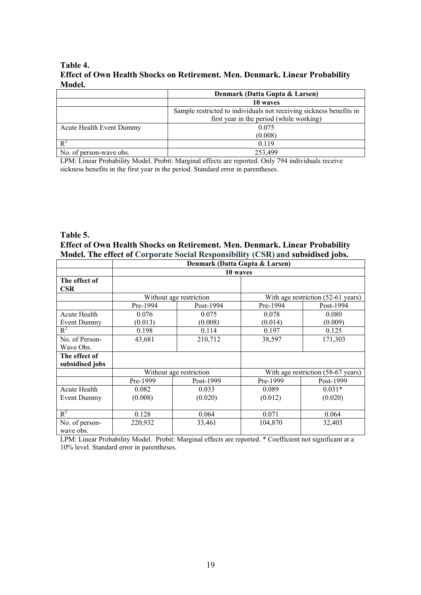## **Table 4. Effect of Own Health Shocks on Retirement. Men. Denmark. Linear Probability Model.**

|                                   | Denmark (Datta Gupta & Larsen)                                      |  |  |
|-----------------------------------|---------------------------------------------------------------------|--|--|
|                                   | 10 waves                                                            |  |  |
|                                   | Sample restricted to individuals not receiving sickness benefits in |  |  |
|                                   | first year in the period (while working)                            |  |  |
| Acute Health Event Dummy<br>0.075 |                                                                     |  |  |
|                                   | (0.008)                                                             |  |  |
| $R^2$                             | 0.119                                                               |  |  |
| No. of person-wave obs.           | 253.499                                                             |  |  |

LPM: Linear Probability Model. Probit: Marginal effects are reported. Only 794 individuals receive sickness benefits in the first year in the period. Standard error in parentheses.

# **Table 5. Effect of Own Health Shocks on Retirement. Men. Denmark. Linear Probability Model. The effect of Corporate Social Responsibility (CSR) and subsidised jobs.**

|                 | Denmark (Datta Gupta & Larsen) |                         |          |                                    |
|-----------------|--------------------------------|-------------------------|----------|------------------------------------|
|                 | 10 waves                       |                         |          |                                    |
| The effect of   |                                |                         |          |                                    |
| <b>CSR</b>      |                                |                         |          |                                    |
|                 |                                | Without age restriction |          | With age restriction (52-61 years) |
|                 | Pre-1994                       | Post-1994               | Pre-1994 | Post-1994                          |
| Acute Health    | 0.076                          | 0.075                   | 0.078    | 0.080                              |
| Event Dummy     | (0.013)                        | (0.008)                 | (0.014)  | (0.009)                            |
| $R^2$           | 0.198                          | 0.114                   | 0.197    | 0.125                              |
| No. of Person-  | 43,681                         | 210,712                 | 38,597   | 171,303                            |
| Wave Obs.       |                                |                         |          |                                    |
| The effect of   |                                |                         |          |                                    |
| subsidised jobs |                                |                         |          |                                    |
|                 |                                | Without age restriction |          | With age restriction (58-67 years) |
|                 | Pre-1999                       | Post-1999               | Pre-1999 | Post-1999                          |
| Acute Health    | 0.082                          | 0.033                   | 0.089    | $0.031*$                           |
| Event Dummy     | (0.008)                        | (0.020)                 | (0.012)  | (0.020)                            |
|                 |                                |                         |          |                                    |
| $R^2$           | 0.128                          | 0.064                   | 0.071    | 0.064                              |
| No. of person-  | 220,932                        | 33,461                  | 104,870  | 32,403                             |
| wave obs.       |                                |                         |          |                                    |

LPM: Linear Probability Model. Probit: Marginal effects are reported. \* Coefficient not significant at a 10% level. Standard error in parentheses.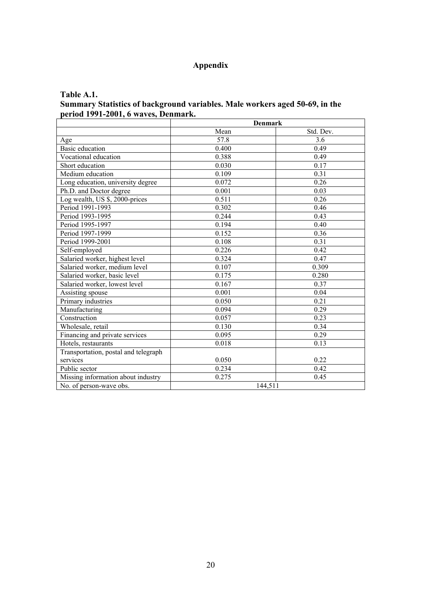# **Appendix**

## **Table A.1.**

## **Summary Statistics of background variables. Male workers aged 50-69, in the period 1991-2001, 6 waves, Denmark.**

|                                      | <b>Denmark</b>    |           |  |
|--------------------------------------|-------------------|-----------|--|
|                                      | Mean              | Std. Dev. |  |
| Age                                  | $\overline{57.8}$ | 3.6       |  |
| <b>Basic</b> education               | 0.400             | 0.49      |  |
| Vocational education                 | 0.388             | 0.49      |  |
| Short education                      | 0.030             | 0.17      |  |
| Medium education                     | 0.109             | 0.31      |  |
| Long education, university degree    | 0.072             | 0.26      |  |
| Ph.D. and Doctor degree              | 0.001             | 0.03      |  |
| Log wealth, US \$, 2000-prices       | 0.511             | 0.26      |  |
| Period 1991-1993                     | 0.302             | 0.46      |  |
| Period 1993-1995                     | 0.244             | 0.43      |  |
| Period 1995-1997                     | 0.194             | 0.40      |  |
| Period 1997-1999                     | 0.152             | 0.36      |  |
| Period 1999-2001                     | 0.108             | 0.31      |  |
| Self-employed                        | 0.226             | 0.42      |  |
| Salaried worker, highest level       | 0.324             | 0.47      |  |
| Salaried worker, medium level        | 0.107             | 0.309     |  |
| Salaried worker, basic level         | 0.175             | 0.280     |  |
| Salaried worker, lowest level        | 0.167             | 0.37      |  |
| Assisting spouse                     | 0.001             | 0.04      |  |
| Primary industries                   | 0.050             | 0.21      |  |
| Manufacturing                        | 0.094             | 0.29      |  |
| Construction                         | 0.057             | 0.23      |  |
| Wholesale, retail                    | 0.130             | 0.34      |  |
| Financing and private services       | 0.095             | 0.29      |  |
| Hotels, restaurants                  | 0.018             | 0.13      |  |
| Transportation, postal and telegraph |                   |           |  |
| services                             | 0.050             | 0.22      |  |
| Public sector                        | 0.234             | 0.42      |  |
| Missing information about industry   | 0.275             | 0.45      |  |
| No. of person-wave obs.              | 144,511           |           |  |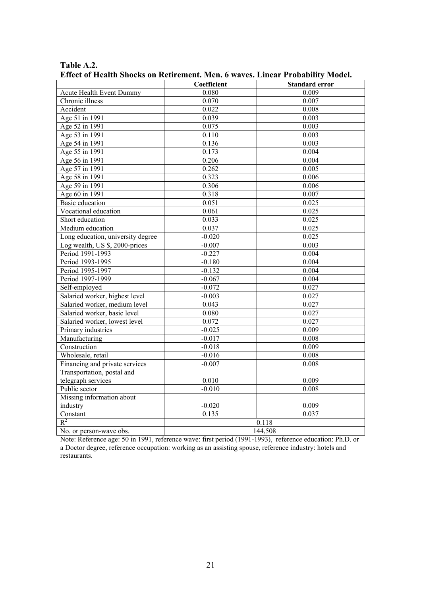|                                   | Coefficient | <b>Standard error</b> |  |
|-----------------------------------|-------------|-----------------------|--|
| Acute Health Event Dummy          | 0.080       | 0.009                 |  |
| Chronic illness                   | 0.070       | 0.007                 |  |
| Accident                          | 0.022       | 0.008                 |  |
| Age 51 in 1991                    | 0.039       | 0.003                 |  |
| Age 52 in 1991                    | 0.075       | 0.003                 |  |
| Age 53 in 1991                    | 0.110       | 0.003                 |  |
| Age 54 in 1991                    | 0.136       | 0.003                 |  |
| Age 55 in 1991                    | 0.173       | 0.004                 |  |
| Age 56 in 1991                    | 0.206       | 0.004                 |  |
| Age 57 in 1991                    | 0.262       | 0.005                 |  |
| Age 58 in 1991                    | 0.323       | 0.006                 |  |
| Age 59 in 1991                    | 0.306       | 0.006                 |  |
| Age 60 in 1991                    | 0.318       | 0.007                 |  |
| <b>Basic</b> education            | 0.051       | 0.025                 |  |
| Vocational education              | 0.061       | 0.025                 |  |
| Short education                   | 0.033       | 0.025                 |  |
| Medium education                  | 0.037       | 0.025                 |  |
| Long education, university degree | $-0.020$    | 0.025                 |  |
| Log wealth, US \$, 2000-prices    | $-0.007$    | 0.003                 |  |
| Period 1991-1993                  | $-0.227$    | 0.004                 |  |
| Period 1993-1995                  | $-0.180$    | 0.004                 |  |
| Period 1995-1997                  | $-0.132$    | 0.004                 |  |
| Period 1997-1999                  | $-0.067$    | 0.004                 |  |
| Self-employed                     | $-0.072$    | 0.027                 |  |
| Salaried worker, highest level    | $-0.003$    | 0.027                 |  |
| Salaried worker, medium level     | 0.043       | 0.027                 |  |
| Salaried worker, basic level      | 0.080       | 0.027                 |  |
| Salaried worker, lowest level     | 0.072       | 0.027                 |  |
| Primary industries                | $-0.025$    | 0.009                 |  |
| Manufacturing                     | $-0.017$    | 0.008                 |  |
| Construction                      | $-0.018$    | 0.009                 |  |
| Wholesale, retail                 | $-0.016$    | 0.008                 |  |
| Financing and private services    | $-0.007$    | 0.008                 |  |
| Transportation, postal and        |             |                       |  |
| telegraph services                | 0.010       | 0.009                 |  |
| Public sector                     | $-0.010$    | 0.008                 |  |
| Missing information about         |             |                       |  |
| industry                          | $-0.020$    | 0.009                 |  |
| Constant                          | 0.135       | 0.037                 |  |
| $R^2$                             | 0.118       |                       |  |
| No. or person-wave obs.           | 144,508     |                       |  |

**Table A.2. Effect of Health Shocks on Retirement. Men. 6 waves. Linear Probability Model.** 

Note: Reference age: 50 in 1991, reference wave: first period (1991-1993), reference education: Ph.D. or a Doctor degree, reference occupation: working as an assisting spouse, reference industry: hotels and restaurants.